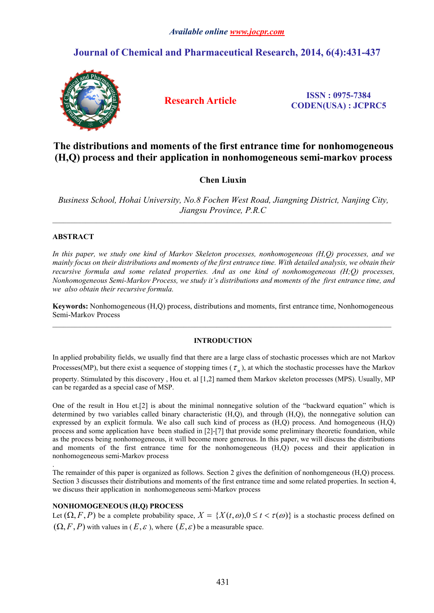### *Available online [www.jocpr.com](http://www.jocpr.com)*

## **Journal of Chemical and Pharmaceutical Research, 2014, 6(4):431-437**



**Research Article ISSN : 0975-7384 CODEN(USA) : JCPRC5**

# **The distributions and moments of the first entrance time for nonhomogeneous (H,Q) process and their application in nonhomogeneous semi-markov process**

## **Chen Liuxin**

*Business School, Hohai University, No.8 Fochen West Road, Jiangning District, Nanjing City, Jiangsu Province, P.R.C*

 $\mathcal{L}_\mathcal{L} = \mathcal{L}_\mathcal{L}$ 

 $\_$  , and the state of the state of the state of the state of the state of the state of the state of the state of the state of the state of the state of the state of the state of the state of the state of the state of the

### **ABSTRACT**

*In this paper, we study one kind of Markov Skeleton processes, nonhomogeneous (H,Q) processes, and we* mainly focus on their distributions and moments of the first entrance time. With detailed analysis, we obtain their *recursive formula and some related properties. And as one kind of nonhomogeneous (H;Q) processes, Nonhomogeneous Semi-Markov Process,we study it's distributions and moments of the first entrance time, and we also obtain their recursive formula.* 

**Keywords:** Nonhomogeneous (H,Q) process, distributions and moments, first entrance time, Nonhomogeneous Semi-Markov Process

### **INTRODUCTION**

In applied probability fields, we usually find that there are a large class of stochastic processes which are not Markov Processes(MP), but there exist a sequence of stopping times ( $\tau_n$ ), at which the stochastic processes have the Markov property. Stimulated by this discovery , Hou et. al [1,2] named them Markov skeleton processes (MPS). Usually, MP can be regarded as a special case of MSP.

One of the result in Hou et.[2] is about the minimal nonnegative solution of the "backward equation" which is determined by two variables called binary characteristic (H,Q), and through (H,Q), the nonnegative solution can expressed by an explicit formula. We also call such kind of process as (H,Q) process. And homogeneous (H,Q) process and some application have been studied in [2]-[7] that provide some preliminary theoretic foundation, while as the process being nonhomogeneous, it will become more generous. In this paper, we will discuss the distributions and moments of the first entrance time for the nonhomogeneous (H,Q) pocess and their application in nonhomogeneous semi-Markov process

.The remainder of this paper is organized as follows. Section <sup>2</sup> gives the definition of nonhomgeneous (H,Q) process. Section 3 discusses their distributions and moments of the first entrance time and some related properties. In section 4, we discuss their application in nonhomogeneous semi-Markov process

### **NONHOMOGENEOUS (H,Q) PROCESS**

Let  $(\Omega, F, P)$  be a complete probability space,  $X = \{X(t, \omega), 0 \le t < \tau(\omega)\}\$ is a stochastic process defined on  $(\Omega, F, P)$  with values in  $(E, \varepsilon)$ , where  $(E, \varepsilon)$  be a measurable space.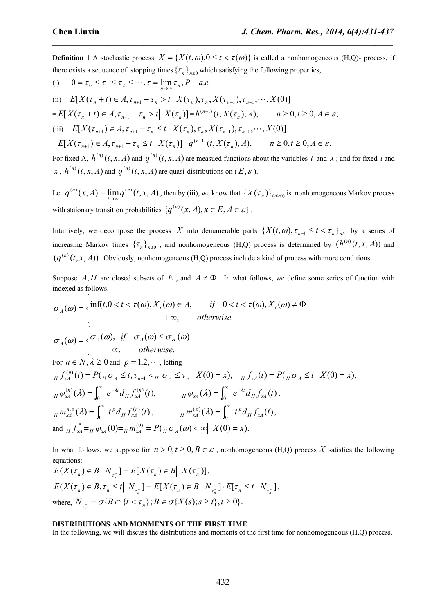**Definition 1** A stochastic process  $X = \{X(t, \omega), 0 \le t < \tau(\omega)\}\$ is called a nonhomogeneous (H,Q)- process, if there exists a sequence of stopping times  $\{\tau_n\}_{n\geq 0}$  which satisfying the following properties,

*\_\_\_\_\_\_\_\_\_\_\_\_\_\_\_\_\_\_\_\_\_\_\_\_\_\_\_\_\_\_\_\_\_\_\_\_\_\_\_\_\_\_\_\_\_\_\_\_\_\_\_\_\_\_\_\_\_\_\_\_\_\_\_\_\_\_\_\_\_\_\_\_\_\_\_\_\_\_*

(i) 
$$
0 = \tau_0 \leq \tau_1 \leq \tau_2 \leq \cdots, \tau = \lim_{n \to \infty} \tau_n, P - a.e;
$$

(ii)  $E[X(\tau_n + t) \in A, \tau_{n+1} - \tau_n > t] \ X(\tau_n), \tau_n, X(\tau_{n-1}), \tau_{n-1}, \cdots, X(0)]$  $E[X(\tau_n + t) \in A, \tau_{n+1} - \tau_n > t \mid X(\tau_n)] = h^{(n+1)}(t, X(\tau_n), A), \qquad n \ge 0, t \ge 0, A \in \mathcal{E};$ (iii)  $E[X(\tau_{n+1}) \in A, \tau_{n+1} - \tau_n \leq t | X(\tau_n), \tau_n, X(\tau_{n-1}), \tau_{n-1}, \cdots, X(0)]$  $E[X(\tau_{n+1}) \in A, \tau_{n+1} - \tau_n \le t \mid X(\tau_n)] = q^{(n+1)}(t, X(\tau_n), A), \qquad n \ge 0, t \ge 0, A \in \mathcal{E}.$ For fixed A,  $h^{(n)}(t, x, A)$  and  $q^{(n)}(t, x, A)$  are measued functions about the variables *t* and *x*; and for fixed *t* and  $x, h^{(n)}(t, x, A)$  and  $q^{(n)}(t, x, A)$  are quasi-distributions on  $(E, \varepsilon)$ .

Let  $q^{(n)}(x, A) = \lim_{t \to \infty} q^{(n)}(t, x, A)$ , then by (iii), we know that  $\{X(\tau_n)\}_{(n \ge 0)}$  is nonhomogeneous Markov process with staionary transition probabilities  $\{q^{(n)}(x, A), x \in E, A \in \mathcal{E}\}\$ . .

Intuitively, we decompose the process X into denumerable parts  $\{X(t, \omega), \tau_{n-1} \le t < \tau_n\}_{n>1}$  by a series of increasing Markov times  $\{\tau_n\}_{n\geq 0}$ , and nonhomogeneous (H,Q) process is determined by  $(h^{(n)}(t, x, A))$  and  $(q^{(n)}(t, x, A))$ . Obviously, nonhomogeneous (H,Q) process include a kind of process with more conditions.

Suppose A, H are closed subsets of E, and  $A \neq \Phi$ . In what follows, we define some series of function with indexed as follows.

$$
\sigma_A(\omega) = \begin{cases}\n\inf(t, 0 < t < \tau(\omega), X_t(\omega) \in A, & \text{if } 0 < t < \tau(\omega), X_t(\omega) \neq \Phi \\
& + \infty, & \text{otherwise.} \\
\sigma_A(\omega) = \begin{cases}\n\sigma_A(\omega), & \text{if } \sigma_A(\omega) \leq \sigma_H(\omega) \\
& + \infty, & \text{otherwise.} \\
\text{For } n \in N, \lambda \geq 0 \text{ and } p = 1, 2, \cdots, \text{ letting}\n\end{cases}
$$

 $_{H} f_{xA}^{(n)}(t) = P(\ _{H} \sigma_{A} \leq t, \tau_{n-1} <_{H} \sigma_{A} \leq \tau_{n} \mid X(0) = x),$   $_{H} f_{xA}(t) = P(\ _{H} \sigma_{A} \leq t \mid X(0) = x),$  $\int_{M}^{(n)} (\lambda) d\lambda = \int_{0}^{\infty} e^{-\lambda t} d_{H} f_{xA}^{(n)}(t),$   $H \varphi_{xA}(\lambda) = \int_{0}^{\infty} e^{-\lambda t} d_{H} f_{xA}^{(n)}(t)$  $H \varphi_{xA}^{(n)}(\lambda) = \int_0^\infty e^{-\lambda t} d_H f_{xA}^{(n)}(t), \qquad H \varphi_{xA}(\lambda) = \int_0^\infty e^{-\lambda t} d_H f_{xA}(t),$  $H \varphi_{xA}(\lambda) = \int_0^\infty e^{-\lambda t} d_H f_{xA}(t)$  $f(\lambda) = \int_{0}^{\infty} t^{p} d_{H} f_{x_{A}}^{(n)}(t)$ ,  $H^{(p)}_{x_{A}}(\lambda) = \int_{0}^{\infty} t^{p} d_{H} f_{x_{A}}^{(n)}(t)$  $_{H}m_{xA}^{n,p}(\lambda) = \int_{0}^{\infty} t^{p} d_{H} f_{xA}^{(n)}(t), \qquad \qquad {}_{H}m_{xA}^{(p)}(\lambda) = \int_{0}^{\infty} t^{p} d_{H} f_{xA}(t),$ and  $f''_{x4} = H \varphi_{x4}(0) = H \varphi_{x4}(0) = H \varphi_{x4}(0) < \infty$   $X(0) = x$ .

In what follows, we suppose for  $n > 0, t \ge 0, B \in \mathcal{E}$ , nonhomogeneous (H,Q) process X satisfies the following equations:

 $E(X(\tau_n) \in B \mid N_{\tau_n^{-}}] = E[X(\tau_n) \in B \mid X(\tau_n^{-})],$ ,  $E(X(\tau_n) \in B, \tau_n \leq t \mid N_{\tau_n^{-}}] = E[X(\tau_n) \in B \mid N_{\tau_n^{-}}] \cdot E[\tau_n \leq t \mid N_{\tau_n^{-}}],$ where,  $N_{\tau_n^-} = \sigma \{ B \cap \{ t < \tau_n \}; B \in \sigma \{ X(s); s \ge t \}, t \ge 0 \}.$ 

#### **DISTRIBUTIONS AND MONMENTS OF THE FIRST TIME**

In the following, we will discuss the distributions and moments of the first time for nonhomogeneous (H,Q) process.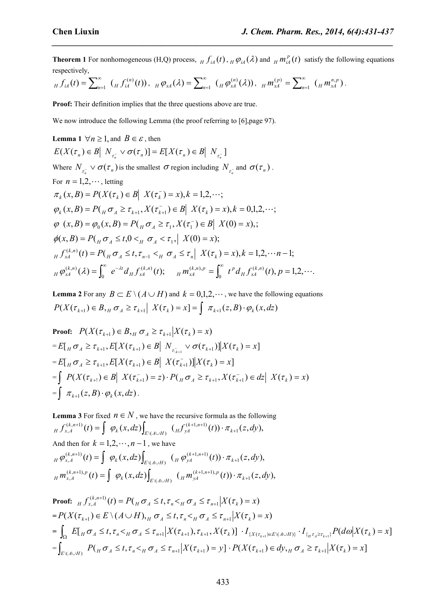**Theorem 1** For nonhomogeneous (H,Q) process,  $_f f_{iA}(t)$ ,  $_f \varphi_{iA}(\lambda)$  and  $_f m_A^p(t)$  satisfy the following equations respectively,

*\_\_\_\_\_\_\_\_\_\_\_\_\_\_\_\_\_\_\_\_\_\_\_\_\_\_\_\_\_\_\_\_\_\_\_\_\_\_\_\_\_\_\_\_\_\_\_\_\_\_\_\_\_\_\_\_\_\_\_\_\_\_\_\_\_\_\_\_\_\_\_\_\_\_\_\_\_\_*

$$
_{H} f_{iA}(t) = \sum_{n=1}^{\infty} ( H f_{iA}^{(n)}(t) ) , \quad _{H} \varphi_{xA}(\lambda) = \sum_{n=1}^{\infty} ( H \varphi_{xA}^{(n)}(\lambda) ) , \quad _{H} m_{xA}^{(p)} = \sum_{n=1}^{\infty} ( H m_{xA}^{n,p} ) .
$$

**Proof:** Their definition implies that the three questions above are true.

We now introduce the following Lemma (the proof referring to [6], page 97).

**Lemma 1** 
$$
\forall n \ge 1
$$
, and  $B \in \varepsilon$ , then  
\n
$$
E(X(\tau_n) \in B | N_{\tau_n} \vee \sigma(\tau_n)] = E[X(\tau_n) \in B | N_{\tau_n}]
$$
\nwhere  $N_{\tau_n} \vee \sigma(\tau_n)$  is the smallest  $\sigma$  region including  $N_{\tau_n}$  and  $\sigma(\tau_n)$ .  
\nFor  $n = 1, 2, \dots$ , letting  
\n $\pi_k(x, B) = P(X(\tau_k) \in B | X(\tau_k^-) = x), k = 1, 2, \dots$ ;  
\n $\varphi_k(x, B) = P(\mu \sigma_A \ge \tau_{k+1}, X(\tau_{k+1}^-) \in B | X(\tau_k^-) = x), k = 0, 1, 2, \dots$ ;  
\n $\varphi(x, B) = \varphi_0(x, B) = P(\mu \sigma_A \ge \tau_1, X(\tau_1^-) \in B | X(0) = x),$ ;  
\n $\varphi(x, B) = P(\mu \sigma_A \le t, 0 < \mu \sigma_A < \tau_1, | X(0) = x)$ ;  
\n $\mu f_{xA}^{(k,n)}(t) = P(\mu \sigma_A \le t, \tau_{n-1} < \mu \sigma_A \le \tau_n | X(\tau_k^-) = x), k = 1, 2, \dots - n - 1$ ;  
\n $\mu \varphi_{xA}^{(k,n)}(\lambda) = \int_0^\infty e^{-\lambda t} d\mu f_{xA}^{(k,n)}(t); \quad \mu m_{xA}^{(k,n)}(t) = \int_0^\infty t^p d\mu f_{xA}^{(k,n)}(t), p = 1, 2, \dots$ 

**Lemma** 2 For any  $B \subset E \setminus (A \cup H)$  and  $k = 0,1,2,\cdots$ , we have the following equations  $P(X(\tau_{k+1}) \in B,_{H} \sigma_{A} \geq \tau_{k+1} | X(\tau_{k}) = x] = \int \pi_{k+1}(z, B) \cdot \varphi_{k}(x, dz)$ 

Proof: 
$$
P(X(\tau_{k+1}) \in B, H \sigma_A \geq \tau_{k+1} | X(\tau_k) = x)
$$
  
\n $= E[ H \sigma_A \geq \tau_{k+1}, E[X(\tau_{k+1}) \in B | N_{\tau_{k+1}} \vee \sigma(\tau_{k+1})] | X(\tau_k) = x]$   
\n $= E[ H \sigma_A \geq \tau_{k+1}, E[X(\tau_{k+1}) \in B | X(\tau_{k+1})] | X(\tau_k) = x]$   
\n $= \int P(X(\tau_{k+1}) \in B | X(\tau_{k+1}^{-}) = z) \cdot P(H \sigma_A \geq \tau_{k+1}, X(\tau_{k+1}^{-}) \in dz | X(\tau_k) = x)$   
\n $= \int \pi_{k+1}(z, B) \cdot \varphi_k(x, dz).$ 

**Lemma 3** For fixed  $n \in N$ , we have the recursive formula as the following  $g(t) = \int \varphi_k(x, dz) \Big|_{x \in (-t_1, t_1)} \left( {}_{H}f_{yA}^{(k+1, n+1)}(t) \right) \cdot \pi_{k+1}(z, dy),$  $\setminus (A \cup H)$   $\setminus H$   $\setminus H$   $\setminus$   $\setminus$  $f_{x,A}^{(k,n+1)}(t) = \int \phi_k(x, dz) \int_{x \wedge (dx, y)} (f_{x,A}^{(k+1,n+1)}(t)) \cdot \pi_{k+1}(z, dy),$  $\mathcal{H}(\mathcal{X}, \mathcal{U}) = \int_{E \setminus (A \cup H)} \mathcal{H} \mathcal{H} \qquad (\mathcal{U})^T \mathcal{H}_{k+1}(\mathcal{Z}, \mathcal{U})$  $(k, n+1)$   $(k)$   $\qquad$   $\qquad$   $\qquad$   $\qquad$   $\qquad$   $\qquad$   $\qquad$   $\qquad$   $\qquad$   $\qquad$   $\qquad$   $\qquad$   $\qquad$   $\qquad$   $\qquad$   $\qquad$   $\qquad$   $\qquad$   $\qquad$   $\qquad$   $\qquad$   $\qquad$   $\qquad$   $\qquad$   $\qquad$   $\qquad$   $\qquad$   $\qquad$   $\qquad$   $\qquad$   $\qquad$   $\qquad$   $\qquad$   $\qquad$   $\q$  $H J_{x,A}$  (*i*)  $-$  |  $\varphi_k(x, u_2)$   $\Big|_{F \setminus (A \cup B)}$  (*H* $J_{yA}$  (*i*))  $\pi_{k+1}(2, u_2)$ ,  $(+1,n+1)$  (4))  $-$  (- d<sub>r</sub>)  $\tau^{(k+1)}(t) = \int \varphi_k(x, dz) \int_{E \setminus (A \cup H)} \left( {}_H f^{(k+1,n+1)}_{yA}(t) \right) \cdot \pi_{k+1}(z, dy),$ And then for  $k = 1, 2, \dots, n - 1$ , we have  $g(t) = \int \phi_k(x, dz) \int_{F(x, t_1, H)} \left( H \phi_{yA}^{(k+1, n+1)}(t) \right) \cdot \pi_{k+1}(z, dy),$  $\setminus (A \cup H)$   $\setminus H$   $\setminus H$   $\setminus$  $(\kappa_{x,A}^{(k,n+1)}(t)) = \int \varphi_k(x, dz) \int_{F \setminus (A \cup H)} (\mu \varphi_{yA}^{(k+1,n+1)}(t)) \cdot \pi_{k+1}(z, dy),$  $\mathcal{H}(\mathcal{X}, \mathcal{U}) = \int_{E \setminus (A \cup H)} \mathcal{H}(\mathcal{Y}) \mathcal{H}(\mathcal{Y}) \mathcal{H}(\mathcal{U}) \cdot \mathcal{H}(\mathcal{X}) \cdot \mathcal{U}(\mathcal{Y})$  $(k, n+1)$   $(k)$   $\begin{bmatrix} a & (n, d-1) \end{bmatrix}$  $H \Psi_{x,A}$  (*i*)  $-$  |  $\psi_k(\lambda, u^2)$  |  $\psi_{k}(u^*, u^2)$  |  $H \Psi_{y,A}$  (*i*))  $\mathcal{H}_{k+1}(2, u^2)$ ,  $(+1,n+1)$  (4)  $-$  (- d<sub>2</sub>)  $\varphi_{x,A}^{(k,n+1)}(t) = \int \varphi_k(x,dz) \int_{E \setminus (A \cup H)} \left( {}_H \varphi_{yA}^{(k+1,n+1)}(t) \right) \cdot \pi_{k+1}(z,dy),$  $g(t) = \int \varphi_k(x, dz) \Big|_{F(x,y) \in H^1} \left( H m_{yA}^{(k+1,n+1), p}(t) \right) \cdot \pi_{k+1}(z, dy),$  $\left( \int_{R_{x,A}}^{(k,n+1),p} (t) \right) = \int_{R_{x,A}}^{R_{x,A}} \varphi_{k}(x,dz) \int_{E \setminus (A \cup H)} \left( \int_{H} m_{yA}^{(k+1,n+1),p} (t) \right) \cdot \pi_{k+1}(z,dy),$  $\left\{ \mu^{k}(x, u^2) \right\}_{E \setminus (A \cup H)}$   $\left\{ H^{m} y^A \right\}$   $\left\{ \mu^{j} \right\}_{k+1}$   $\left\{ \mu^{j} \right\}_{k+1}$  $(k, n+1), p(t) = \int_{-\infty}^{\infty} (x - d^{-1})$  $H^{H}$ <sub>x,A</sub> (*i*) –  $\oint \psi_k(x,az) \Big|_{F^k(A+B)} \langle H^{H}y_A \rangle$  (*i*)  $\int f^{k+1}(z,ay)$ ,  $(+1,n+1), p(x)$   $(-1,1)$  $\mathcal{L}^{(t+1),p}(t) = \int \; \varphi_k(x,dz) \int_{E \setminus (A \cup H)} \; \big( {}_H m_{yA}^{(k+1,n+1),p}(t) \big) \cdot \pi_{k+1}(z,dy),$ 

Proof: 
$$
{}_{H} f_{x,A}^{(k,n+1)}(t) = P({}_{H} \sigma_{A} \leq t, \tau_{n} <_{H} \sigma_{A} \leq \tau_{n+1} | X(\tau_{k}) = x)
$$
  
\n
$$
= P(X(\tau_{k+1}) \in E \setminus (A \cup H),_{H} \sigma_{A} \leq t, \tau_{n} <_{H} \sigma_{A} \leq \tau_{n+1} | X(\tau_{k}) = x)
$$
  
\n
$$
= \int_{\Omega} E[{}_{H} \sigma_{A} \leq t, \tau_{n} <_{H} \sigma_{A} \leq \tau_{n+1} | X(\tau_{k+1}), \tau_{k+1}, X(\tau_{k})] \cdot I_{\{X(\tau_{k+1}) \in E \setminus (A \cup H)\}} \cdot I_{\{H(\tau_{A} \geq \tau_{k+1})\}} P(d\omega | X(\tau_{k}) = x]
$$
  
\n
$$
= \int_{E \setminus (A \cup H)} P({}_{H} \sigma_{A} \leq t, \tau_{n} <_{H} \sigma_{A} \leq \tau_{n+1} | X(\tau_{k+1}) = y] \cdot P(X(\tau_{k+1}) \in dy,_{H} \sigma_{A} \geq \tau_{k+1} | X(\tau_{k}) = x]
$$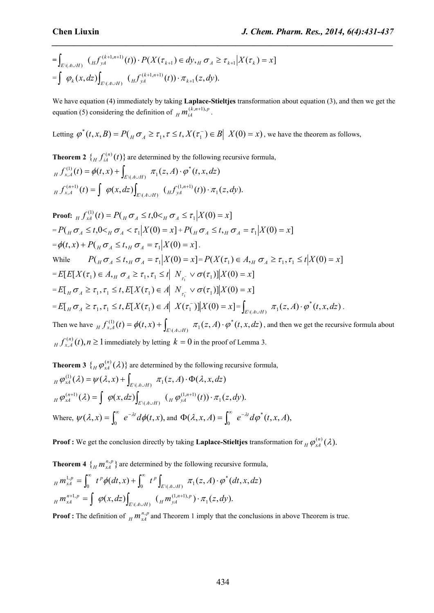$$
= \int_{E\setminus (A\cup H)} (Hf_{yA}^{(k+1,n+1)}(t)) \cdot P(X(\tau_{k+1}) \in dy, H \sigma_A \ge \tau_{k+1} | X(\tau_k) = x]
$$
  
= 
$$
\int \varphi_k(x, dz) \int_{E\setminus (A\cup H)} (Hf_{yA}^{(k+1,n+1)}(t)) \cdot \pi_{k+1}(z, dy).
$$

We have equation (4) immediately by taking **Laplace-Stieltjes** transformation about equation (3), and then we get the equation (5) considering the definition of  $\mu m_{iA}^{(k, n+1), p}$ . .

*\_\_\_\_\_\_\_\_\_\_\_\_\_\_\_\_\_\_\_\_\_\_\_\_\_\_\_\_\_\_\_\_\_\_\_\_\_\_\_\_\_\_\_\_\_\_\_\_\_\_\_\_\_\_\_\_\_\_\_\_\_\_\_\_\_\_\_\_\_\_\_\_\_\_\_\_\_\_*

Letting  $\varphi^*(t, x, B) = P(\bigcup_{H} \sigma_A \ge \tau_1, \tau \le t, X(\tau_1^-) \in B \big| X(0) = x)$ , we have the theorem as follow  $\varphi^*(t, x, B) = P(\mathbf{x} \sigma_A \geq \tau_1, \tau \leq t, X(\tau_1^-) \in B \mid X(0) = x)$ , we have the theorem as follows,

**Theorem 2**  $\{ H_{H} f_{iA}^{(n)}(t) \}$  are determined by the following recursive formula,  $f^{(1)}(t) = \phi(t, x) + \int$ 

$$
\begin{aligned}\n_{H} f_{x,A}^{(1)}(t) &= \phi(t,x) + \int_{E \setminus (A \cup H)} \pi_1(z,A) \cdot \phi^*(t,x,dz) \\
_{H} f_{x,A}^{(n+1)}(t) &= \int \phi(x,dz) \int_{E \setminus (A \cup H)} \left( {}_{H} f_{yA}^{(1,n+1)}(t) \right) \cdot \pi_1(z,dy).\n\end{aligned}
$$

Proof: 
$$
_{H} f_{xA}^{(1)}(t) = P(\frac{\pi}{H} \sigma_{A} \leq t, 0 < \frac{\pi}{H} \sigma_{A} \leq \tau_{1} | X(0) = x]
$$
  
\n $= P(\frac{\pi}{H} \sigma_{A} \leq t, 0 < \frac{\pi}{H} \sigma_{A} < \tau_{1} | X(0) = x] + P(\frac{\pi}{H} \sigma_{A} \leq t, \frac{\pi}{H} \sigma_{A} = \tau_{1} | X(0) = x]$   
\n $= \phi(t, x) + P(\frac{\pi}{H} \sigma_{A} \leq t, \frac{\pi}{H} \sigma_{A} = \tau_{1} | X(0) = x]$ .  
\nWhile  $P(\frac{\pi}{H} \sigma_{A} \leq t, \frac{\pi}{H} \sigma_{A} = \tau_{1} | X(0) = x] = P(X(\tau_{1}) \in A, \frac{\pi}{H} \sigma_{A} \geq \tau_{1}, \tau_{1} \leq t | X(0) = x]$   
\n $= E[E[X(\tau_{1}) \in A, \frac{\pi}{H} \sigma_{A} \geq \tau_{1}, \tau_{1} \leq t | N_{\tau_{1}} \vee \sigma(\tau_{1})] | X(0) = x]$   
\n $= E[\frac{\pi}{H} \sigma_{A} \geq \tau_{1}, \tau_{1} \leq t, E[X(\tau_{1}) \in A | N_{\tau_{1}} \vee \sigma(\tau_{1})] | X(0) = x]$   
\n $= E[\frac{\pi}{H} \sigma_{A} \geq \tau_{1}, \tau_{1} \leq t, E[X(\tau_{1}) \in A | X(\tau_{1}^{-})] | X(0) = x] = \int_{E(X(A \cup H))} \pi_{1}(z, A) \cdot \phi^{*}(t, x, dz)$ .  
\nThen we have  $\frac{\pi}{H} \int_{x, A}^{(1)}(t) = \phi(t, x) + \int_{E(X(A \cup H))} \pi_{1}(z, A) \cdot \phi^{*}(t, x, dz)$ , and then we get the recursive formula about  $\frac{\pi}{H} \int_{x, A}^{(n)}(t), n \geq 1$  immediately by letting  $k = 0$  in the proof of Lemma 3.

**Theorem 3**  $\{ H \varphi_{xA}^{(n)}(\lambda) \}$  are determined by the following recursive formula,  $\pi_H \varphi_{xA}^{(1)}(\lambda) = \psi(\lambda, x) + \int_{E \setminus (A \cup H)} \pi_1(z, A) \cdot \Phi(\lambda, x, dz)$  $\mathcal{A}( \lambda ) = \int_{\mathcal{A}} \varphi (x,dz) \int_{\mathcal{A}} \varphi (x,y) \, dx \, d\mu \, \varphi (y) \, d\mu \, \varphi (x,dy) \, d\mu \, \varphi (x,dy).$  $\int_{H} \varphi_{xA}^{(n+1)}(\lambda) = \int_{H} \varphi(x, dz) \int_{E \setminus (A \cup H)} \left( \int_{H} \varphi_{yA}^{(1,n+1)}(t) \right) \cdot \pi_1(z, dy).$  $^{(1,1)}(\lambda) = \int \varphi(x, dz) \int_{E\setminus (A\cup H)} (\frac{}{}_{H} \varphi^{(1,n+1)}_{yA}(t)) \cdot \pi_1(z, dy).$ Where,  $\psi(\lambda, x) = \int_0^\infty e^{-\lambda t} d\phi(t, x)$ , and  $\Phi(\lambda, x, A) = \int_0^\infty e^{-\lambda t} d\phi^*(t, x, A)$ ,

**Proof** : We get the conclusion directly by taking **Laplace-Stieltjes** transformation for  $_H \varphi_{xA}^{(n)}(\lambda)$ .  $H \Psi_{XA}$   $(V)$ .

**Theorem 4**  $\{H_m, H_m^n\}$  are determined by the following recursive formula,  $(dt, x) + \int_{0}^{\infty} t^{p} \left[ x, y, z \right] dx$   $\pi_1(z, A) \cdot \varphi^*(dt, x, dz)$  $m_{xA}^{1,p} = \int_0^\infty t^p \phi(dt, x) + \int_0^\infty t^p \int_{E \setminus (A \cup H)} \pi_1(z, A) \cdot \phi^*(dt, x, dz)$  $p_{H} m_{xA}^{1,p} = \int_{0}^{\infty} t^{p} \phi(dt, x) + \int_{0}^{\infty} t^{p} \int_{E \setminus (A \cup H)} \pi_{1}(z, A) \cdot \phi^{*}(dt, x, dz)$  $(x,dz)$ <sub> $\int_{x \setminus (A \cup B)}$ </sub>  $\left(Hm_{yA}^{(1,n+1),p}\right) \cdot \pi_1(z,dy)$ .  $\left( \int_{M} n^{n+1,p} \right) = \int_{K} \varphi(x, dz) \int_{E \setminus (A \cup H)} \left( \int_{H} m_{yA}^{(1,n+1,p} \right) \cdot \pi_1(z, dy).$  $H_{H}^{n+1,p} = \int \varphi(x, dz) \int_{F \setminus (A \cup H)} \left( H_{H}^{(1,n+1),p} \right) \cdot \pi_1(z, dy).$  $\mathcal{L}^{11,p}_{4} = \int \varphi(x,dz) \int_{E((A \cup H))} (H^{(1,n+1),p}_{yA}) \cdot \pi_1(z,dy).$ 

**Proof**: The definition of  $_H m_{xA}^{n,p}$  and Theorem 1 imply that the conclusions in above Theorem is true.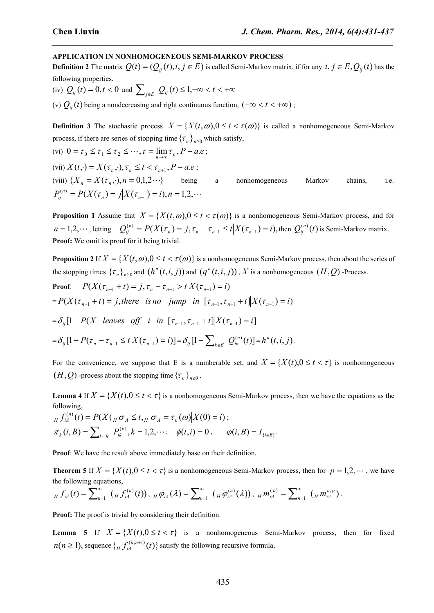#### **APPLICATION IN NONHOMOGENEOUS SEMI-MARKOV PROCESS**

**Definition 2** The matrix  $Q(t) = (Q_{ij}(t), i, j \in E)$  is called Semi-Markov matrix, if for any  $i, j \in E$ ,  $Q_{ij}(t)$  has the following properties.

*\_\_\_\_\_\_\_\_\_\_\_\_\_\_\_\_\_\_\_\_\_\_\_\_\_\_\_\_\_\_\_\_\_\_\_\_\_\_\_\_\_\_\_\_\_\_\_\_\_\_\_\_\_\_\_\_\_\_\_\_\_\_\_\_\_\_\_\_\_\_\_\_\_\_\_\_\_\_*

(iv)  $Q_{ij}(t) = 0, t < 0$  and  $\sum_{j \in E} Q_{ij}(t) \leq 1, -\infty < t < +\infty$ 

(v)  $Q_{ij}(t)$  being a nondecreasing and right continuous function,  $(-\infty < t < +\infty)$ ;

**Definition** 3 The stochastic process  $X = \{X(t, \omega), 0 \le t < \tau(\omega)\}\$ is called a nonhomogeneous Semi-Markov process, if there are series of stopping time  $\{\tau_n\}_{n\geq 0}$  which satisfy,

(vi)  $0 = \tau_0 \le \tau_1 \le \tau_2 \le \cdots$ ,  $\tau = \lim_{n \to \infty} \tau_n$ ,  $P - a.e$ ; (vii)  $X(t, \cdot) = X(\tau_n, \cdot), \tau_n \leq t < \tau_{n+1}, P - a.e;$ (viii)  ${X_n = X(\tau_n, \cdot), n = 0,1,2\cdots}$  being a nonhomogeneous Markov chains, i.e.  $P_{ij}^{(n)} = P(X(\tau_n) = j | X(\tau_{n-1}) = i), n = 1, 2, \cdots$ 

**Proposition 1** Assume that  $X = \{X(t, \omega), 0 \le t < \tau(\omega)\}\$ is a nonhomogeneous Semi-Markov process, and for  $n=1,2,\dots$ , letting  $Q_{ij}^{(n)}=P(X(\tau_n)=j,\tau_n-\tau_{n-1}\leq t\big|X(\tau_{n-1})=i)$ , then  $Q_{ij}^{(n)}(t)$  is Semi-Markov matrix. **Proof:** We omit its proof for it being trivial.

**Proposition 2** If  $X = \{X(t, \omega), 0 \le t < \tau(\omega)\}\$ is a nonhomogeneous Semi-Markov process, then about the series of the stopping times  $\{\tau_n\}_{n\geq 0}$  and  $(h^n(t,i,j))$  and  $(q^n(t,i,j))$ , X is a nonhomogeneous  $(H,Q)$  -Process. **Proof**:  $P(X(\tau_{n-1} + t) = j, \tau_n - \tau_{n-1} > t | X(\tau_{n-1}) = i)$  $= P(X(\tau_{n-1} + t) = j,$  there is no jump in  $[\tau_{n-1}, \tau_{n-1} + t]X(\tau_{n-1}) = i$  $= \delta_{ij} [1 - P(X \text{ leaves off } i \text{ in } [\tau_{n-1}, \tau_{n-1} + t]] X(\tau_{n-1}) = i]$  $=\delta_{ij}[1-P(\tau_n-\tau_{n-1}\leq t \Big|X(\tau_{n-1})=i)] = \delta_{ij}[1-\sum_{k\in E}Q_{ik}^{(n)}(t)] = h^n(t,i,j).$ .

For the convenience, we suppose that E is a numberable set, and  $X = \{X(t), 0 \le t < \tau\}$  is nonhomogeneous  $(H, Q)$  -process about the stopping time  ${\{\tau_n\}}_{n \geq 0}$ .

**Lemma** 4 If  $X = \{X(t), 0 \le t < \tau\}$  is a nonhomogeneous Semi-Markov process, then we have the equations as the following,

$$
{}_{H} f_{iA}^{(n)}(t) = P(X(\overline{H} \sigma_{A} \leq t, \overline{H} \sigma_{A} = \tau_{n}(\omega) | X(0) = i);
$$
  
\n
$$
\pi_{k}(i, B) = \sum_{k \in B} P_{ik}^{(k)}, k = 1, 2, \cdots; \quad \phi(t, i) = 0, \qquad \phi(i, B) = I_{\{i \in B\}}.
$$

**Proof**: We have the result above immediately base on their definition.

**Theorem 5** If  $X = \{X(t), 0 \le t < \tau\}$  is a nonhomogeneous Semi-Markov process, then for  $p = 1, 2, \dots$ , we have the following equations,

$$
_{H} f_{iA}(t) = \sum_{n=1}^{\infty} ( H f_{iA}^{(n)}(t) ) , _{H} \varphi_{iA}(\lambda) = \sum_{n=1}^{\infty} ( H \varphi_{iA}^{(n)}(\lambda) ) , _{H} m_{iA}^{(p)} = \sum_{n=1}^{\infty} ( H m_{iA}^{n,p} ) .
$$

**Proof:** The proof is trivial by considering their definition.

**Lemma 5** If  $X = \{X(t), 0 \le t < \tau\}$  is a nonhomogeneous Semi-Markov process, then for fixed  $n(n \ge 1)$ , sequence  $\{ H \}_{i}^{(k, n+1)}(t) \}$  satisfy the following recursive formula,  $H J_{iA}$  (*i*) and  $I$  is the following recu <sup>+1)</sup>(t)} satisfy the following recursive formula,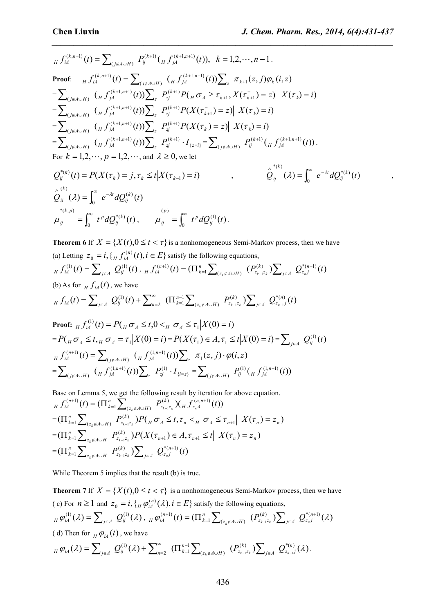*\_\_\_\_\_\_\_\_\_\_\_\_\_\_\_\_\_\_\_\_\_\_\_\_\_\_\_\_\_\_\_\_\_\_\_\_\_\_\_\_\_\_\_\_\_\_\_\_\_\_\_\_\_\_\_\_\_\_\_\_\_\_\_\_\_\_\_\_\_\_\_\_\_\_\_\_\_\_*

$$
H_{i}^{(k,n+1)}(t) = \sum_{(j \notin A \cup H)} P_{ij}^{(k+1)}(H f_{jA}^{(k+1,n+1)}(t)), \quad k = 1, 2, \dots, n-1.
$$
\nProof: 
$$
H_{i}^{(k,n+1)}(t) = \sum_{(j \notin A \cup H)} (H f_{jA}^{(k+1,n+1)}(t)) \sum_{z} \pi_{k+1}(z, j) \varphi_{k}(i, z)
$$
\n
$$
= \sum_{(j \notin A \cup H)} (H f_{jA}^{(k+1,n+1)}(t)) \sum_{z} P_{zj}^{(k+1)} P(H \sigma_{A} \geq \tau_{k+1}, X(\tau_{k+1}^{-}) = z) | X(\tau_{k}) = i)
$$
\n
$$
= \sum_{(j \notin A \cup H)} (H f_{jA}^{(k+1,n+1)}(t)) \sum_{z} P_{zj}^{(k+1)} P(X(\tau_{k+1}^{-}) = z) | X(\tau_{k}) = i)
$$
\n
$$
= \sum_{(j \notin A \cup H)} (H f_{jA}^{(k+1,n+1)}(t)) \sum_{z} P_{zj}^{(k+1)} P(X(\tau_{k}) = z) | X(\tau_{k}) = i)
$$
\n
$$
= \sum_{(j \notin A \cup H)} (H f_{jA}^{(k+1,n+1)}(t)) \sum_{z} P_{zj}^{(k+1)} \cdot I_{\{z=i\}} = \sum_{(j \notin A \cup H)} P_{ij}^{(k+1)}(H f_{jA}^{(k+1,n+1)}(t)).
$$
\nFor  $k = 1, 2, \dots, p = 1, 2, \dots$ , and  $\lambda \geq 0$ , we let\n
$$
Q_{ij}^{*(k)}(t) = P(X(\tau_{k}) = j, \tau_{k} \leq t | X(\tau_{k-1}) = i) \qquad , \qquad \hat{Q}_{ij}^{*(k)}(t) = \int_{0}^{\infty} e^{-\lambda t} dQ_{ij}^{*(k)}(t) \qquad ,
$$

$$
Q_{ij}^{(k)}(t) = P(X(\tau_k) = j, \tau_k \le t | X(\tau_{k-1}) = t) , \qquad Q_{ij}^{(k)}(\lambda) = \int_0^{\infty} e^{-\lambda t} dQ_{ij}^{(k)}(t) ,
$$
  

$$
\hat{Q}_{ij}^{(k)}(\lambda) = \int_0^{\infty} e^{-\lambda t} dQ_{ij}^{(k)}(t) , \qquad \mu_{ij}^{(p)} = \int_0^{\infty} t^p dQ_{ij}^{(1)}(t) .
$$

**Theorem 6** If  $X = \{X(t), 0 \le t < \tau\}$  is a nonhomogeneous Semi-Markov process, then we have (a) Letting  $z_0 = i$ ,  $\{ H f_{iA}^{(n)}(t), i \in E \}$  satisfy the following equations,  $\int_{H} f_{iA}^{(1)}(t) = \sum_{j\in A} Q_{ij}^{(1)}(t)$ ,  $\int_{H} f_{iA}^{(n+1)}(t) = (\prod_{k=1}^{n} \sum_{(z_k \notin A \cup H)} (P_{z_{k-1}z_k}^{(k)}) \sum_{j\in A} Q_{z_{nj}}^{*(n+1)}(t)$  $\bigcup_{z_k \notin A \cup H}$ <sup>( $\bigcup_{z_{k-1}z_k}$ ) $\bigcup_{j \in A}$ </sup>  $f_{iA}^{(n+1)}(t) = (\prod_{k=1}^{n} \sum_{(z_k \notin A \cup H)} (P_{z_{k-1}z_k}^{(k)}) \sum_{j \in A} Q_{z_{nj}}^{*(n+1)}(t)$  $H \int_{iA}^{(n+1)} (t) = (\prod_{k=1}^{n} \sum_{(z_k \notin A \cup H)} (P_{z_{k-1}z_k}^{(k)}) \sum_{j \in A} Q_{z_{nj}}^{*(n+1)}(t)$ (b) As for  $\iint_H f_{iA}(t)$ , we have  $g(t) = \sum_{i,j \in A} Q_{ij}^{(1)}(t) + \sum_{i=2}^{\infty} (\prod_{k=1}^{n-1} \sum_{i,j \in A} P_{ij}^{(k)}, P_{ij}^{(k)}, \sum_{i,j \in A} Q_{ij}^{*(n)}, (t))$  $(z_k \notin A \cup H)$   $z_{k-1} z_k$   $\sum_{j \in A} z_j$  $\sum_{l}$   $D^{(k)}$   $\sum$ 2  $($ **1**  $k=1$   $\angle$   $(z_k \notin A \cup H)$   $\leftarrow$   $z_{k-1}z_k$   $\angle$   $\angle$   $j \in A$  $f_{iA}(t) = \sum_{j\in A} Q_{ij}^{(1)}(t) + \sum_{n=2}^{\infty} (\prod_{k=1}^{n-1} \sum_{(z_k \notin A \cup H)} P_{z_{k-1}z_k}^{(k)}) \sum_{j\in A} Q_{z_{n-1}j}^{*(n)}(t)$  $A_{H} f_{iA}(t) = \sum_{j\in A} Q_{ij}^{(1)}(t) + \sum_{n=2}^{\infty} (\prod_{k=1}^{n-1} \sum_{(z_{k} \notin A \cup H)} P_{z_{k-1}z_{k}}^{(k)}) \sum_{j\in A} Q_{z_{n-1}j}^{*(n)}(t)$ **Proof:**  $\int_{H}^{(1)} f_{iA}^{(1)}(t) = P(\int_{H} \sigma_{A} \leq t, 0 \leq H \sigma_{A} \leq \tau_{1} | X(0) = i)$  $1^{|\Lambda|}(0) = i$ 

**Proof:** 
$$
H J_{iA}(t) = I (H O_A \le t, 0 \le H O_A \le t_1 | A(0) = t)
$$

$$
= P\left(H O_A \le t, H O_A = \tau_1 | X(0) = i\right) = P(X(\tau_1) \in A, \tau_1 \le t | X(0) = i) = \sum_{j \in A} Q_{ij}^{(1)}(t)
$$

$$
H J_{iA}^{(n+1)}(t) = \sum_{(j \notin A \cup H)} \left(H J_{jA}^{(1,n+1)}(t)\right) \sum_{z} \pi_1(z, j) \cdot \varphi(i, z)
$$

$$
= \sum_{(j \notin A \cup H)} \left(H J_{jA}^{(1,n+1)}(t)\right) \sum_{z} P_{zj}^{(1)} \cdot I_{\{i=z\}} = \sum_{(j \notin A \cup H)} P_{ij}^{(1)}(H J_{jA}^{(1,n+1)}(t))
$$

Base on Lemma 5, we get the following result by iteration for above equation.  $\mathcal{L}(t) = (\prod_{k=1}^n \sum_{(z_k \notin A \cup H)} P_{z_{k-1}z_k}^{(k)}) (f_H f_{z_n A}^{(n,n+1)}(t))$  $H_{H} f_{iA}^{(n+1)}(t) = (\prod_{k=1}^{n} \sum_{(z_k \notin A \cup H)} P_{z_{k-1}z_k}^{(k)}) (\prod_{j} f_{z_j}^{(n,n+1)}(t))$  $=\left(\prod_{k=1}^n\sum_{(\tau,\sigma A\cup H)}P_{z_{k-1}z_k}^{(k)}\right)P_{H}(\sigma A_{} \leq t,\tau_n \leq_{H} \sigma A_{} \leq \tau_{n+1} | X(\tau_n) = z_n)$  $(k)$   $\Delta D(f - z + z)$  $\frac{1}{4}$   $\sum_{(z_k \notin A \cup H)} \frac{1}{2} z_{k-1} z_k I^T (H^0 A \leq t, t_n > H^0 A \leq t_{n+1} |A(t_n) - t_n|)$  $\prod_{k=1}^{n} \sum_{(z_k \notin A \cup H)} P_{z_{k-1}z_k}^{(k)} P(\bigvee_{H} \sigma_A \leq t, \tau_n \leq_H \sigma_A \leq \tau_{n+1} | X(\tau_n) = z_n)$  $=\left(\prod_{k=1}^n\sum_{z,\mu\in A\cup H}P_{z_{k-1}z_{k}}^{(k)}\right)P(X(\tau_{n+1})\in A,\tau_{n+1}\leq t\vert X(\tau_n)=z_n).$  $(k)$  ) D(  $V(r)$  )  $\sim$  $\mathcal{I}_{1} \sum_{z_{k} \notin A \cup H} \mathcal{I}_{z_{k-1}z_{k}} \mathcal{I}_{1} \left( \Lambda \left( \iota_{n+1} \right) \in A, \iota_{n+1} \preceq \iota \right) \Lambda \left( \iota_{n} \right) = \lambda_{n}$  $\prod_{k=1}^{n} \sum_{z_k \notin A \cup H} P_{z_{k-1}z_k}^{(k)} P(X(\tau_{n+1}) \in A, \tau_{n+1} \leq t | X(\tau_n) = z_n)$  $=\left(\prod_{k=1}^n\sum_{z_k\notin A\cup H}P^{(k)}_{z_{k-1}z_k}\right)\sum_{j\in A}\ Q^{*(n+1)}_{z_n j}(t)$  $\prod_{i=1}^n \sum_{z_k \notin A \cup H} P_{z_{k-1}z_k}^{(k)}$   $\sum_{j \in A} Q_{z_{n}j}^{*(n+1)}(t)$ 

While Theorem 5 implies that the result (b) is true.

**Theorem 7** If  $X = \{X(t), 0 \le t < \tau\}$  is a nonhomogeneous Semi-Markov process, then we have (c) For  $n \ge 1$  and  $z_0 = i$ ,  $\{ H \varphi_{iA}^{(n)}(\lambda), i \in E \}$  satisfy the following equations,  $\mathcal{A}_H \, \varphi^{(1)}_{iA} (\mathcal{X}) = \sum\nolimits_{j\in A} \; Q^{(1)}_{ij} (\mathcal{X}) \, , \; {}_H \varphi^{(n+1)}_{iA} (t) = ( \Pi^n_{k=1} \sum\nolimits_{(z_k \not \in A \cup H)} \; \big( P^{(k)}_{z_{k-1} z_k} \, ) \! \sum\nolimits_{j\in A} \; Q^{*(n+1)}_{z_{n,j}} (\mathcal{X}) \, .$  $\bigcup_{z_k \notin A \cup H} (z_k \notin A \cup H)$   $\bigcup_{z_{k-1} \in A} \bigcup_{z \in A}$  $\varphi_{iA}^{(n+1)}(t) = (\prod_{k=1}^n \sum_{(z_k \notin A \cup H)} (P_{z_{k-1}z_k}^{(k)}) \sum_{i \in A} Q_{z_{n}j}^{*(n+1)}(\lambda)$  $\mathcal{P}^{(n+1)}(t) = (\prod_{k=1}^{n} \sum_{(z_k \notin A \cup H)} (P^{(k)}_{z_{k-1}z_k}) \sum_{j \in A} Q^{*(n+1)}_{z_{nj}}(\lambda))$  $\sum_{i \in A} \sum_{z_n}$  (*x*)  $\mu_{H} \varphi_{iA}^{(n+1)}(t) = (\prod_{k=1}^{n} \sum_{(z_{k} \notin A \cup H)} (P_{z_{k-1}z_{k}}^{(k)}) \sum\nolimits_{j \in A} \ Q_{z_{nj}}^{*(n+1)}(\lambda)$ ( d) Then for  $\mu \varphi_{iA}(t)$ , we have  $(\lambda) = \sum_{i=1}^{\infty} Q_{ii}^{(1)}(\lambda) + \sum_{k=2}^{\infty} (\prod_{k=1}^{n-1} \sum_{k=1}^{k} (P_{i,k}^{(k)}) \sum_{k=1}^{n} Q_{i,k}^{*(n)}(\lambda)).$  $(z_k \notin A \cup H)$ <sup> $\leftarrow z_{k-1} z_k$ </sup> $\leftarrow$  $j \in A$  $\sum (D^{(k)} \setminus \nabla)$ 2  $(1 + k=1)$   $\angle$   $(z_k \notin A \cup H)$   $(1 + z_{k-1}z_k)$   $\angle$   $j \in$  $\varphi_{iA}(\lambda) = \sum_{j\in A} Q_{ij}^{(1)}(\lambda) + \sum_{n=2}^{\infty} (\prod_{k=1}^{n-1} \sum_{(z_k \notin A \cup H)} (P_{z_{k-1}z_k}^{(k)}) \sum_{j\in A} Q_{z_{n-1}j}^{*(n)}(\lambda).$  $\sum_{i=1}^{\infty}$   $\sum_{n=1}^{\infty}$   $\binom{n}{i}$ .  $A_{H}\varphi_{iA}(\lambda) = \sum\nolimits_{j\in A}\;Q_{ij}^{(1)}(\lambda) + \sum\nolimits_{n=2}^{\infty}\; \left(\Pi_{k=1}^{n-1}\sum\nolimits_{(z_{k}\notin A\cup H)}\; \left(P_{z_{k-1}z_{k}}^{(k)}\right)\!\sum\nolimits_{j\in A}\;Q_{z_{n-1}j}^{*(n)}(\lambda)\right).$